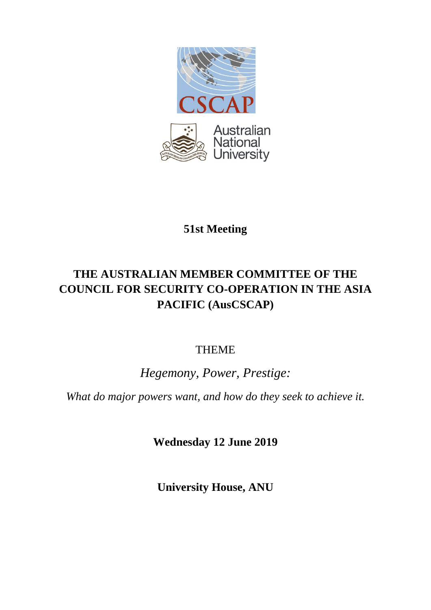

# **51st Meeting**

# **THE AUSTRALIAN MEMBER COMMITTEE OF THE COUNCIL FOR SECURITY CO-OPERATION IN THE ASIA PACIFIC (AusCSCAP)**

## THEME

# *Hegemony, Power, Prestige:*

*What do major powers want, and how do they seek to achieve it.*

**Wednesday 12 June 2019**

**University House, ANU**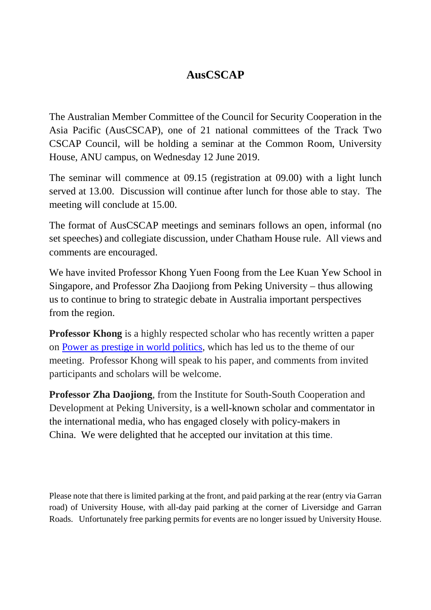## **AusCSCAP**

The Australian Member Committee of the Council for Security Cooperation in the Asia Pacific (AusCSCAP), one of 21 national committees of the Track Two CSCAP Council, will be holding a seminar at the Common Room, University House, ANU campus, on Wednesday 12 June 2019.

The seminar will commence at 09.15 (registration at 09.00) with a light lunch served at 13.00. Discussion will continue after lunch for those able to stay. The meeting will conclude at 15.00.

The format of AusCSCAP meetings and seminars follows an open, informal (no set speeches) and collegiate discussion, under Chatham House rule. All views and comments are encouraged.

We have invited Professor Khong Yuen Foong from the Lee Kuan Yew School in Singapore, and Professor Zha Daojiong from Peking University – thus allowing us to continue to bring to strategic debate in Australia important perspectives from the region.

**Professor Khong** is a highly respected scholar who has recently written a paper on [Power as prestige in world politics,](file://capfs.anu.edu.au/cap_shares$/bell/Aus-CSCAP/AUS-CSCAP/Meetings/51st%20meeting%20Canberra%20June%202019/PowerasPrestige.IA.Khong.pdf) which has led us to the theme of our meeting. Professor Khong will speak to his paper, and comments from invited participants and scholars will be welcome.

**Professor Zha Daojiong**, from the Institute for South-South Cooperation and Development at Peking University, is a well-known scholar and commentator in the international media, who has engaged closely with policy-makers in China. We were delighted that he accepted our invitation at this time.

Please note that there is limited parking at the front, and paid parking at the rear (entry via Garran road) of University House, with all-day paid parking at the corner of Liversidge and Garran Roads. Unfortunately free parking permits for events are no longer issued by University House.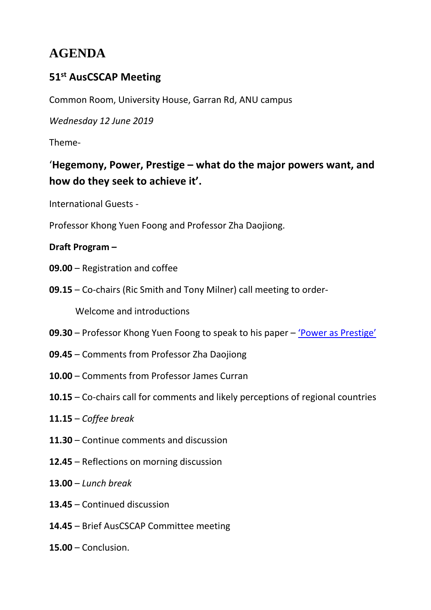# **AGENDA**

## **51st AusCSCAP Meeting**

Common Room, University House, Garran Rd, ANU campus

*Wednesday 12 June 2019* 

Theme-

'**Hegemony, Power, Prestige – what do the major powers want, and how do they seek to achieve it'.**

International Guests -

Professor Khong Yuen Foong and Professor Zha Daojiong.

## **Draft Program –**

- **09.00** Registration and coffee
- **09.15** Co-chairs (Ric Smith and Tony Milner) call meeting to order-

Welcome and introductions

- **09.30** Professor Khong Yuen Foong to speak to his paper ['Power as Prestige'](http://bellschool.anu.edu.au/sites/default/files/uploads/2019-05/powerasprestige.ia_.khong_.pdf)
- **09.45** Comments from Professor Zha Daojiong
- **10.00** Comments from Professor James Curran
- **10.15** Co-chairs call for comments and likely perceptions of regional countries
- **11.15** *Coffee break*
- **11.30** Continue comments and discussion
- **12.45**  Reflections on morning discussion
- **13.00** *Lunch break*
- **13.45** Continued discussion
- **14.45** Brief AusCSCAP Committee meeting
- **15.00** Conclusion.